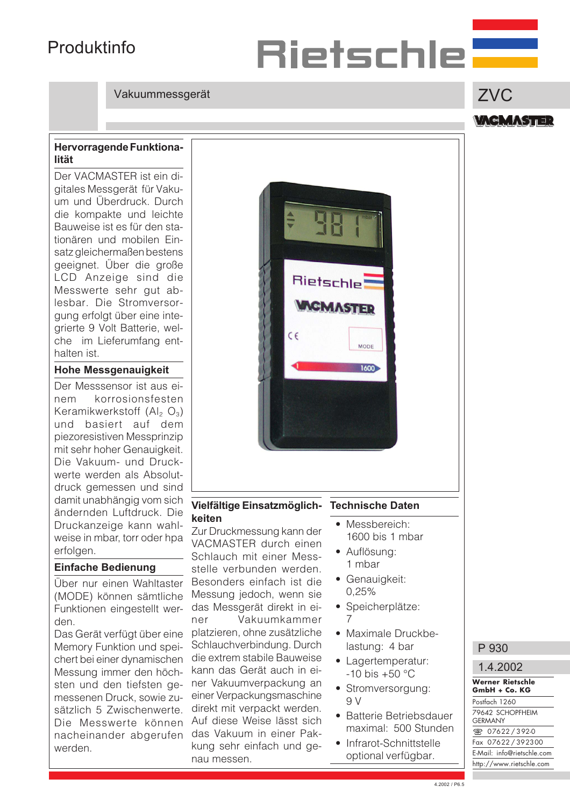## Produktinfo

## Vakuummessgerät

### Hervorragende Funktionalität

Der VACMASTER ist ein digitales Messgerät für Vakuum und Überdruck. Durch die kompakte und leichte Bauweise ist es für den stationären und mobilen Einsatz gleichermaßen bestens geeignet. Über die große LCD Anzeige sind die Messwerte sehr gut ablesbar. Die Stromversorgung erfolgt über eine integrierte 9 Volt Batterie, welche im Lieferumfang enthalten ist.

### Hohe Messgenauigkeit

Der Messsensor ist aus einem korrosionsfesten Keramikwerkstoff  $(A|_2 \, O_3)$ und basiert auf dem piezoresistiven Messprinzip mit sehr hoher Genauigkeit. Die Vakuum- und Druckwerte werden als Absolutdruck gemessen und sind damit unabhängig vom sich ändernden Luftdruck. Die Druckanzeige kann wahlweise in mbar, torr oder hpa erfolgen.

## Einfache Bedienung

Über nur einen Wahltaster (MODE) können sämtliche Funktionen eingestellt werden.

Das Gerät verfügt über eine Memory Funktion und speichert bei einer dynamischen Messung immer den höchsten und den tiefsten gemessenen Druck, sowie zusätzlich 5 Zwischenwerte. Die Messwerte können nacheinander abgerufen werden.

### keiten Zur Druckmessung kann der VACMASTER durch einen Schlauch mit einer Messstelle verbunden werden. Besonders einfach ist die Messung jedoch, wenn sie das Messgerät direkt in einer Vakuumkammer platzieren, ohne zusätzliche Schlauchverbindung. Durch die extrem stabile Bauweise kann das Gerät auch in einer Vakuumverpackung an einer Verpackungsmaschine direkt mit verpackt werden. Auf diese Weise lässt sich das Vakuum in einer Pakkung sehr einfach und genau messen.

Vielfältige Einsatzmöglich-

### Technische Daten

Rietschle

 $\epsilon$ 

**CMASTED** 

MODE

1600

Rietschle**=** 

- Messbereich: 1600 bis 1 mbar
- Auflösung: 1 mbar
- Genauigkeit: 0,25%
- Speicherplätze: 7
- Maximale Druckbelastung: 4 bar
- Lagertemperatur:  $-10$  bis  $+50$  °C
- Stromversorgung:  $Q<sub>q</sub>$
- Batterie Betriebsdauer maximal: 500 Stunden
- Infrarot-Schnittstelle optional verfügbar.

# ZVC

**VAGMASTER** 



P 930

#### **Werner Rietschle GmbH + Co. KG** Postfach 1260 79642 SCHOPFHEIM **GERMANY**  $\sqrt{\ }$  07622 / 392-0 Fax 07622 / 392300 E-Mail: info@rietschle.com http://www.rietschle.com